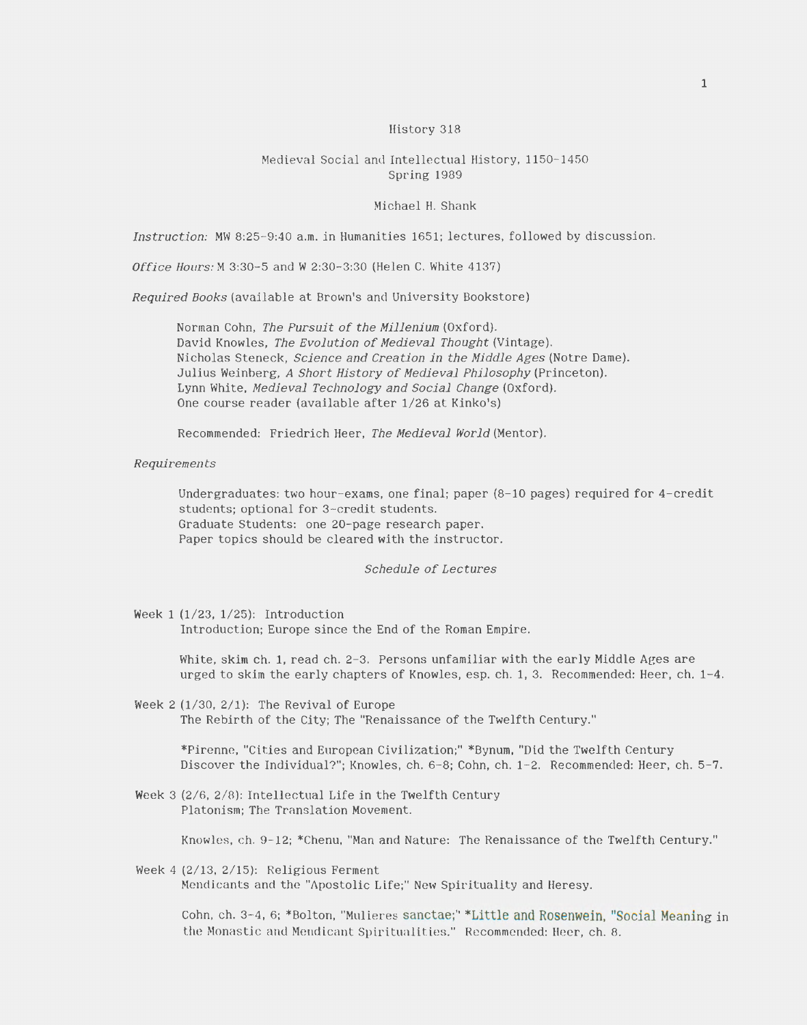## History 318

## Medieval Social and Intellectual History, 1150-1450 Spring 1989

## Michael H. Shank

*Instruction:* MW 8:25-9:40 a.m. in Humanities 1651; lectures, followed by discussion.

*Office Hours:* M 3:30-5 and W 2:30-3:30 (Helen C. White 4137)

*Required Books* (available at Brown's and University Bookstore)

Norman Cohn, *The Pursuit of the Millenium* (Oxford). David Knowles, *The Evolution of Medieval Thought* (Vintage). Nicholas Steneck, *Science and Creation in the Middle Ages* (Notre Dame). Julius Weinberg, *A Short History of Medieval Philosophy* (Princeton). Lynn White, *Medieval Technology and Social Change* (Oxford). One course reader (available after 1/26 at Kinko's)

Recommended: Friedrich Heer, *The Medieval World* (Mentor).

*Requirements* 

Undergraduates: two hour-exams, one final; paper (8-10 pages) required for 4-credit students; optional for 3-credit students. Graduate Students: one 20-page research paper. Paper topics should be cleared with the instructor.

## *Schedule of Lectures*

Week 1 (1/23, 1/25): Introduction Introduction; Europe since the End of the Roman Empire.

> White, skim ch. 1, read ch. 2-3. Persons unfamiliar with the early Middle Ages are urged to skim the early chapters of Knowles, esp. ch. 1, 3. Recommended: Heer, ch. 1-4.

Week 2 (1/30, 2/1}: The Revival of Europe The Rebirth of the City; The "Renaissance of the Twelfth Century."

\*Pirenne, "Cities and European Civilization;" \*Bynum, "Did the Twelfth Century Discover the Individual?"; Knowles, ch. 6-8; Cohn, ch. 1-2. Recommended: Heer, ch. 5-7.

Week 3 (2/6, 2/8): Intellectual Life in the Twelfth Century Platonism; The Translation Movement.

Knowles, ch. 9- 12; \*Chenu, "Man and Nature: The Renaissance of the Twelfth Century."

Week  $4$  (2/13, 2/15): Religious Ferment Mendicants and the "Apostolic Life;" New Spirituality and Heresy.

> Cohn, ch. 3-4, 6; \*Bolton, "Mulieres sanctae;" \*Little and Rosenwein, "Social Meaning in the Monastic and Mendicant Spiritualities." Recommended: Heer, ch. 8.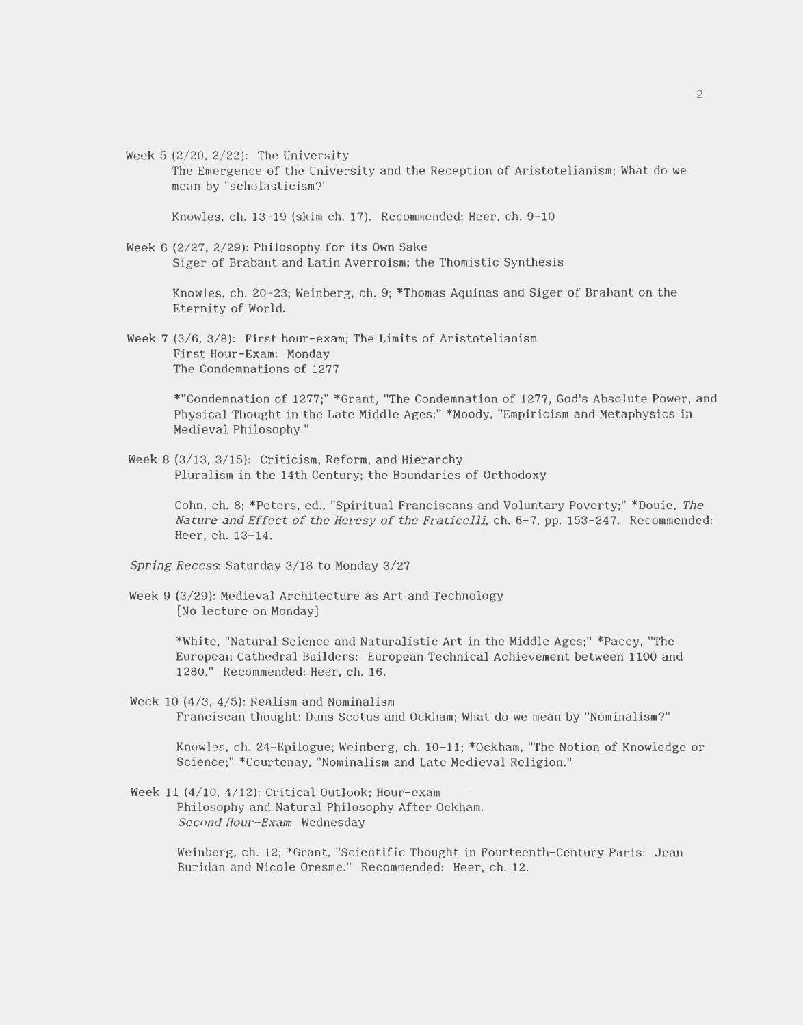Week 5  $(2/20, 2/22)$ : The University

The Emergence of the University and the Reception of Aristotelianism; What do we mean by "scholasticism?"

Knowles, ch. 13-19 (skim ch. 17). Recommended: Heer, ch. 9-10

Week 6  $(2/27, 2/29)$ : Philosophy for its Own Sake Siger of Brabant and Latin Averroism; the Thomistic Synthesis

> Knowles, ch. 20-23; Weinberg, ch. 9; \*Thomas Aquinas and Siger of Brabant on the Eternity of World.

Week 7 (3/6, 3/8): First hour-exam; The Limits of Aristotelianism First Hour-Exam: Monday The Condemnations of 1277

> \*"Condemnation of 1277;" \*Grant, "The Condemnation of 1277, God's Absolute Power, and Physical Thought in the Late Middle Ages;" \*Moody, "Empiricism and Metaphysics in Medieval Philosophy."

Week 8 (3/13, 3/15): Criticism, Reform, and Hierarchy Pluralism in the 14th Century; the Boundaries of Orthodoxy

> Cohn, ch. 8; \*Peters, ed., "Spiritual Franciscans and Voluntary Poverty;" \*Douie, The Nature and Effect of the Heresy of the Fraticelli, ch. 6-7, pp. 153-247. Recommended: Heer, ch. 13-14.

- Spring Recess. Saturday 3/18 to Monday 3/27
- Week 9 (3/29): Medieval Architecture as Art and Technology [No lecture on Monday]

\*White, "Natural Science and Naturalistic Art in the Middle Ages;" \*Pacey, "The European Cathedral Builders: European Technical Achievement between 1100 and 1280." Recommended: Heer, ch. 16.

Week 10 (4/3, 4/5): Realism and Nominalism Franciscan thought: Duns Scotus and Ockham; What do we mean by "Nominalism?"

Knowles, ch. 24- Epilogue; Weinberg, ch. 10-11; \*Ockham, "The Notion of Knowledge or Science;" \*Courtenay, "Nominalism and Late Medieval Religion."

Week 11 (4/10, 4/12): Critical Outlook; Hour-exam Philosophy and Natural Philosophy After Ockham. Second Hour-Exam: Wednesday

> Weinberg, ch. 12; \*Grant, "Scientific Thought in Fourteenth-Century Paris: Jean Buridan and Nicole Oresme." Recommended: Heer, ch. 12.